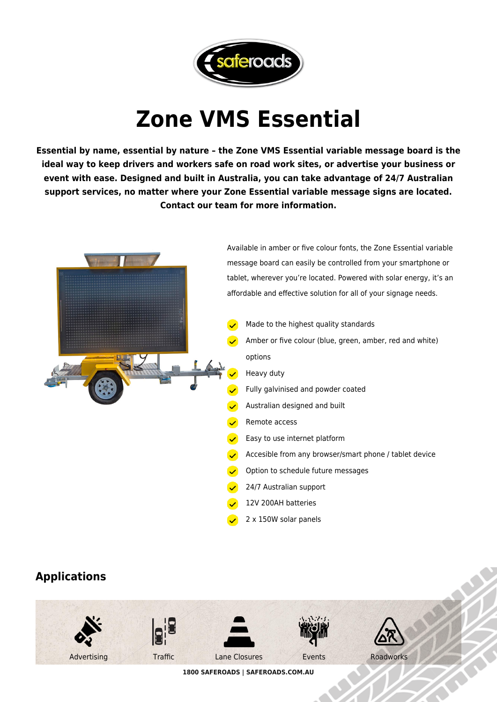

## **Zone VMS Essential**

**Essential by name, essential by nature – the Zone VMS Essential variable message board is the ideal way to keep drivers and workers safe on road work sites, or advertise your business or event with ease. Designed and built in Australia, you can take advantage of 24/7 Australian support services, no matter where your Zone Essential variable message signs are located. Contact our team for more information.**



## **Applications**



**1800 SAFEROADS | SAFEROADS.COM.AU**